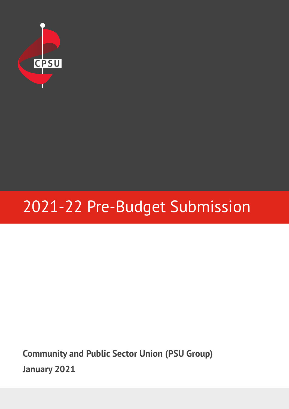

# 2021-22 Pre-Budget Submission

**Community and Public Sector Union (PSU Group) January 2021**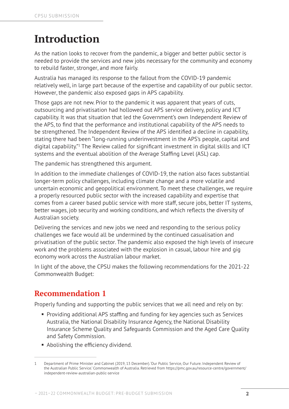### **Introduction**

As the nation looks to recover from the pandemic, a bigger and better public sector is needed to provide the services and new jobs necessary for the community and economy to rebuild faster, stronger, and more fairly.

Australia has managed its response to the fallout from the COVID-19 pandemic relatively well, in large part because of the expertise and capability of our public sector. However, the pandemic also exposed gaps in APS capability.

Those gaps are not new. Prior to the pandemic it was apparent that years of cuts, outsourcing and privatisation had hollowed out APS service delivery, policy and ICT capability. It was that situation that led the Government's own Independent Review of the APS, to find that the performance and institutional capability of the APS needs to be strengthened. The Independent Review of the APS identified a decline in capability, stating there had been "long-running underinvestment in the APS's people, capital and digital capability."<sup>1</sup> The Review called for significant investment in digital skills and ICT systems and the eventual abolition of the Average Staffing Level (ASL) cap.

The pandemic has strengthened this argument.

In addition to the immediate challenges of COVID-19, the nation also faces substantial longer-term policy challenges, including climate change and a more volatile and uncertain economic and geopolitical environment. To meet these challenges, we require a properly resourced public sector with the increased capability and expertise that comes from a career based public service with more staff, secure jobs, better IT systems, better wages, job security and working conditions, and which reflects the diversity of Australian society.

Delivering the services and new jobs we need and responding to the serious policy challenges we face would all be undermined by the continued casualisation and privatisation of the public sector. The pandemic also exposed the high levels of insecure work and the problems associated with the explosion in casual, labour hire and gig economy work across the Australian labour market.

In light of the above, the CPSU makes the following recommendations for the 2021-22 Commonwealth Budget:

### **Recommendation 1**

Properly funding and supporting the public services that we all need and rely on by:

- Providing additional APS staffing and funding for key agencies such as Services Australia, the National Disability Insurance Agency, the National Disability Insurance Scheme Quality and Safeguards Commission and the Aged Care Quality and Safety Commission.
- **Abolishing the efficiency dividend.**

<sup>1</sup> Department of Prime Minister and Cabinet (2019, 13 December). 'Our Public Service, Our Future. Independent Review of the Australian Public Service.' Commonwealth of Australia. Retrieved from https://pmc.gov.au/resource-centre/government/ independent-review-australian-public-service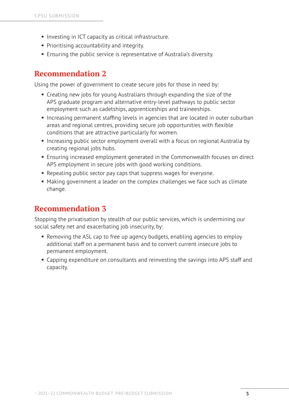- **Investing in ICT capacity as critical infrastructure.**
- **Prioritising accountability and integrity.**
- Ensuring the public service is representative of Australia's diversity.

#### **Recommendation 2**

Using the power of government to create secure jobs for those in need by:

- Creating new jobs for young Australians through expanding the size of the APS graduate program and alternative entry-level pathways to public sector employment such as cadetships, apprenticeships and traineeships.
- Increasing permanent staffing levels in agencies that are located in outer suburban areas and regional centres, providing secure job opportunities with flexible conditions that are attractive particularly for women.
- Increasing public sector employment overall with a focus on regional Australia by creating regional jobs hubs.
- Ensuring increased employment generated in the Commonwealth focuses on direct APS employment in secure jobs with good working conditions.
- Repealing public sector pay caps that suppress wages for everyone.
- Making government a leader on the complex challenges we face such as climate change.

### **Recommendation 3**

Stopping the privatisation by stealth of our public services, which is undermining our social safety net and exacerbating job insecurity, by:

- Removing the ASL cap to free up agency budgets, enabling agencies to employ additional staff on a permanent basis and to convert current insecure jobs to permanent employment.
- Capping expenditure on consultants and reinvesting the savings into APS staff and capacity.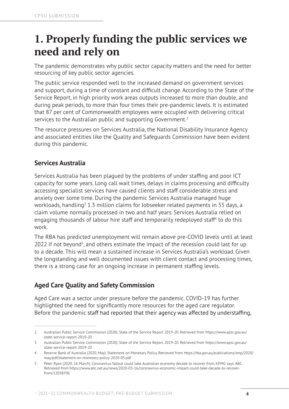### **1. Properly funding the public services we need and rely on**

The pandemic demonstrates why public sector capacity matters and the need for better resourcing of key public sector agencies.

The public service responded well to the increased demand on government services and support, during a time of constant and difficult change. According to the State of the Service Report, in high priority work areas outputs increased to more than double, and during peak periods, to more than four times their pre-pandemic levels. It is estimated that 87 per cent of Commonwealth employees were occupied with delivering critical services to the Australian public and supporting Government.<sup>2</sup>

The resource pressures on Services Australia, the National Disability Insurance Agency and associated entities like the Quality and Safeguards Commission have been evident during this pandemic.

#### **Services Australia**

Services Australia has been plagued by the problems of under staffing and poor ICT capacity for some years. Long call wait times, delays in claims processing and difficulty accessing specialist services have caused clients and staff considerable stress and anxiety over some time. During the pandemic Services Australia managed huge workloads, handling<sup>3</sup> 1.3 million claims for Jobseeker related payments in 55 days, a claim volume normally processed in two and half years. Services Australia relied on engaging thousands of labour hire staff and temporarily redeployed staff<sup>4</sup> to do this work.

The RBA has predicted unemployment will remain above pre-COVID levels until at least 2022 if not beyond<sup>5</sup>, and others estimate the impact of the recession could last for up to a decade. This will mean a sustained increase in Services Australia's workload. Given the longstanding and well documented issues with client contact and processing times, there is a strong case for an ongoing increase in permanent staffing levels.

#### **Aged Care Quality and Safety Commission**

Aged Care was a sector under pressure before the pandemic. COVID-19 has further highlighted the need for significantly more resources for the aged care regulator. Before the pandemic staff had reported that their agency was affected by understaffing,

<sup>2</sup> Australian Public Service Commission (2020). State of the Service Report 2019-20. Retrieved from https://www.apsc.gov.au/ state-service-report-2019-20

<sup>3</sup> Australian Public Service Commission (2020). State of the Service Report 2019-20. Retrieved from https://www.apsc.gov.au/ state-service-report-2019-20

<sup>4</sup> Reserve Bank of Australia (2020, May). Statement on Monetary Policy. Retrieved from https://rba.gov.au/publications/smp/2020/ may/pdf/statement-on-monetary-policy-2020-05.pdf

<sup>5</sup> Peter Ryan (2020, 16 March). Coronavirus fallout could take Australian economy decade to recover from, KPMG says. ABC. Retrieved from https://www.abc.net.au/news/2020-03-16/coronavirus-economic-impact-could-take-decade-to-recoverfrom/12058706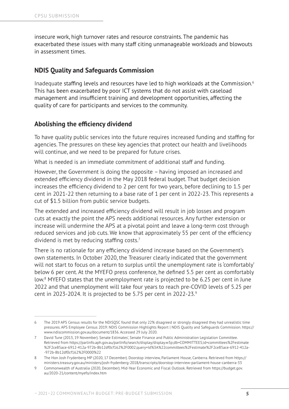insecure work, high turnover rates and resource constraints. The pandemic has exacerbated these issues with many staff citing unmanageable workloads and blowouts in assessment times.

#### **NDIS Quality and Safeguards Commission**

Inadequate staffing levels and resources have led to high workloads at the Commission.<sup>6</sup> This has been exacerbated by poor ICT systems that do not assist with caseload management and insufficient training and development opportunities, affecting the quality of care for participants and services to the community.

#### **Abolishing the efficiency dividend**

To have quality public services into the future requires increased funding and staffing for agencies. The pressures on these key agencies that protect our health and livelihoods will continue, and we need to be prepared for future crises.

What is needed is an immediate commitment of additional staff and funding.

However, the Government is doing the opposite – having imposed an increased and extended efficiency dividend in the May 2018 federal budget. That budget decision increases the efficiency dividend to 2 per cent for two years, before declining to 1.5 per cent in 2021-22 then returning to a base rate of 1 per cent in 2022-23. This represents a cut of \$1.5 billion from public service budgets.

The extended and increased efficiency dividend will result in job losses and program cuts at exactly the point the APS needs additional resources. Any further extension or increase will undermine the APS at a pivotal point and leave a long-term cost through reduced services and job cuts. We know that approximately 55 per cent of the efficiency dividend is met by reducing staffing costs.7

There is no rationale for any efficiency dividend increase based on the Government's own statements. In October 2020, the Treasurer clearly indicated that the government will not start to focus on a return to surplus until the unemployment rate is 'comfortably' below 6 per cent. At the MYEFO press conference, he defined 5.5 per cent as comfortably low.<sup>8</sup> MYEFO states that the unemployment rate is projected to be 6.25 per cent in June 2022 and that unemployment will take four years to reach pre-COVID levels of 5.25 per cent in 2023-2024. It is projected to be 5.75 per cent in 2022-23.9

<sup>6</sup> The 2019 APS Census results for the NDISQSC found that only 22% disagreed or strongly disagreed they had unrealistic time pressures. APS Employee Census 2019: NDIS Commission Highlights Report | NDIS Quality and Safeguards Commission. https:// www.ndiscommission.gov.au/document/1836. Accessed 29 July 2020.

<sup>7</sup> David Tune (2013, 19 November). Senate Estimates', Senate Finance and Public Administration Legislation Committee. Retrieved from https://parlinfo.aph.gov.au/parlInfo/search/display/display.w3p;db=COMMITTEES;id=committees%2Festimate %2F2ce85ace-6912-412a-972b-8b12df0cf162%2F0002;query=Id%3A%22committees%2Festimate%2F2ce85ace-6912-412a- -972b-8b12df0cf162%2F0000%22

<sup>8</sup> The Hon Josh Frydenberg MP (2020, 17 December). Doorstop interview, Parliament House, Canberra. Retrieved from [https://](https://ministers.treasury.gov.au/ministers/josh-frydenberg-2018/transcripts/doorstop-interview-parliament-house-canberra-33) [ministers.treasury.gov.au/ministers/josh-frydenberg-2018/transcripts/doorstop-interview-parliament-house-canberra-33](https://ministers.treasury.gov.au/ministers/josh-frydenberg-2018/transcripts/doorstop-interview-parliament-house-canberra-33)

<sup>9</sup> Commonwealth of Australia (2020, December). Mid-Year Economic and Fiscal Outlook. Retrieved from [https://budget.gov.](https://budget.gov.au/2020-21/content/myefo/index.htm) [au/2020-21/content/myefo/index.htm](https://budget.gov.au/2020-21/content/myefo/index.htm)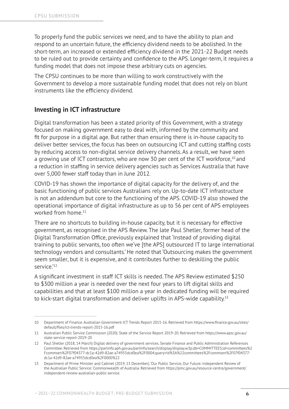To properly fund the public services we need, and to have the ability to plan and respond to an uncertain future, the efficiency dividend needs to be abolished. In the short-term, an increased or extended efficiency dividend in the 2021-22 Budget needs to be ruled out to provide certainty and confidence to the APS. Longer-term, it requires a funding model that does not impose these arbitrary cuts on agencies.

The CPSU continues to be more than willing to work constructively with the Government to develop a more sustainable funding model that does not rely on blunt instruments like the efficiency dividend.

#### **Investing in ICT infrastructure**

Digital transformation has been a stated priority of this Government, with a strategy focused on making government easy to deal with, informed by the community and fit for purpose in a digital age. But rather than ensuring there is in-house capacity to deliver better services, the focus has been on outsourcing ICT and cutting staffing costs by reducing access to non-digital service delivery channels. As a result, we have seen a growing use of ICT contractors, who are now 30 per cent of the ICT workforce,10 and a reduction in staffing in service delivery agencies such as Services Australia that have over 5,000 fewer staff today than in June 2012.

COVID-19 has shown the importance of digital capacity for the delivery of, and the basic functioning of public services Australians rely on. Up-to-date ICT infrastructure is not an addendum but core to the functioning of the APS. COVID-19 also showed the operational importance of digital infrastructure as up to 56 per cent of APS employees worked from home.<sup>11</sup>

There are no shortcuts to building in-house capacity, but it is necessary for effective government, as recognised in the APS Review. The late Paul Shetler, former head of the Digital Transformation Office, previously explained that 'Instead of providing digital training to public servants, too often we've [the APS] outsourced IT to large international technology vendors and consultants.' He noted that 'Outsourcing makes the government seem smaller, but it is expensive, and it contributes further to deskilling the public service.'<sup>12</sup>

A significant investment in staff ICT skills is needed. The APS Review estimated \$250 to \$300 million a year is needed over the next four years to lift digital skills and capabilities and that at least \$100 million a year in dedicated funding will be required to kick-start digital transformation and deliver uplifts in APS-wide capability.13

<sup>10</sup> Department of Finance. Australian Government ICT Trends Report 2015-16. Retrieved from [https://www.finance.gov.au/sites/](https://www.finance.gov.au/sites/default/files/ict-trends-report-2015-16.pdf) [default/files/ict-trends-report-2015-16.pdf](https://www.finance.gov.au/sites/default/files/ict-trends-report-2015-16.pdf)

<sup>11</sup> Australian Public Service Commission (2020). State of the Service Report 2019-20. Retrieved from https://www.apsc.gov.au/ state-service-report-2019-20

<sup>12</sup> Paul Shetler (2018, 14 March) Digital delivery of government services. Senate Finance and Public Administration References Committee. Retrieved from https://parlinfo.aph.gov.au/parlInfo/search/display/display.w3p;db=COMMITTEES;id=committees%2 Fcommsen%2F07f04377-dc1a-42d9-82ae-a74955dcd0ea%2F0004;query=Id%3A%22committees%2Fcommsen%2F07f04377 dc1a-42d9-82ae-a74955dcd0ea%2F0000%22

<sup>13</sup> Department of Prime Minister and Cabinet (2019, 13 December). 'Our Public Service, Our Future. Independent Review of the Australian Public Service.' Commonwealth of Australia. Retrieved from https://pmc.gov.au/resource-centre/government/ independent-review-australian-public-service.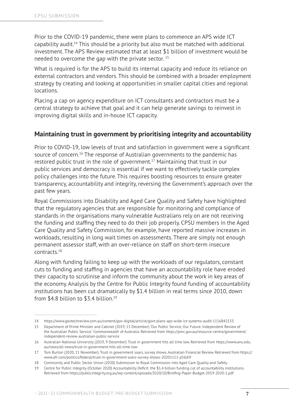Prior to the COVID-19 pandemic, there were plans to commence an APS wide ICT capability audit.<sup>14</sup> This should be a priority but also must be matched with additional investment. The APS Review estimated that at least \$1 billion of investment would be needed to overcome the gap with the private sector. <sup>15</sup>

What is required is for the APS to build its internal capacity and reduce its reliance on external contractors and vendors. This should be combined with a broader employment strategy by creating and looking at opportunities in smaller capital cities and regional locations.

Placing a cap on agency expenditure on ICT consultants and contractors must be a central strategy to achieve that goal and it can help generate savings to reinvest in improving digital skills and in-house ICT capacity.

#### **Maintaining trust in government by prioritising integrity and accountability**

Prior to COVID-19, low levels of trust and satisfaction in government were a significant source of concern.<sup>16</sup> The response of Australian governments to the pandemic has restored public trust in the role of government.<sup>17</sup> Maintaining that trust in our public services and democracy is essential if we want to effectively tackle complex policy challenges into the future. This requires boosting resources to ensure greater transparency, accountability and integrity, reversing the Government's approach over the past few years.

Royal Commissions into Disability and Aged Care Quality and Safety have highlighted that the regulatory agencies that are responsible for monitoring and compliance of standards in the organisations many vulnerable Australians rely on are not receiving the funding and staffing they need to do their job properly. CPSU members in the Aged Care Quality and Safety Commission, for example, have reported massive increases in workloads, resulting in long wait times on assessments. There are simply not enough permanent assessor staff, with an over-reliance on staff on short-term insecure contracts.18

Along with funding failing to keep up with the workloads of our regulators, constant cuts to funding and staffing in agencies that have an accountability role have eroded their capacity to scrutinise and inform the community about the work in key areas of the economy. Analysis by the Centre for Public Integrity found funding of accountability institutions has been cut dramatically by \$1.4 billion in real terms since 2010, down from \$4.8 billion to \$3.4 billion.19

<sup>14</sup> https://www.govtechreview.com.au/content/gov-digital/article/govt-plans-aps-wide-ict-systems-audit-1116842133

<sup>15</sup> Department of Prime Minister and Cabinet (2019, 13 December). 'Our Public Service, Our Future. Independent Review of the Australian Public Service.' Commonwealth of Australia. Retrieved from https://pmc.gov.au/resource-centre/government/ independent-review-australian-public-service

<sup>16</sup> Australian National University (2019, 9 December). Trust in government hits all time low. Retrieved from https://www.anu.edu. au/news/all-news/trust-in-government-hits-all-time-low

<sup>17</sup> Tom Burton (2020, 11 November). Trust in government soars, survey shows. Australian Financial Review. Retrieved from https:// www.afr.com/politics/federal/trust-in-government-soars-survey-shows-20201111-p56di9

<sup>18</sup> Community and Public Sector Union (2020) Submission to Royal Commission into Aged Care Quality and Safety.

<sup>19</sup> Centre for Public Integrity (October 2020) Accountability Deficit: the \$1.4 billion funding cut of accountability institutions. Retrieved from https://publicintegrity.org.au/wp-content/uploads/2020/10/Briefing-Paper-Budget-2019-2020-1.pdf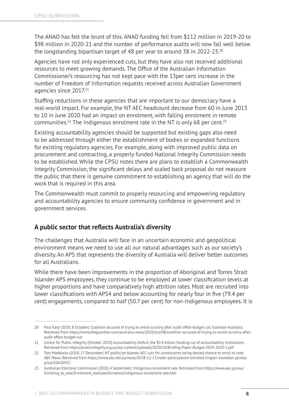The ANAO has felt the brunt of this. ANAO funding fell from \$112 million in 2019-20 to \$98 million in 2020-21 and the number of performance audits will now fall well below the longstanding bipartisan target of 48 per year to around 38 in 2022-23.20

Agencies have not only experienced cuts, but they have also not received additional resources to meet growing demands. The Office of the Australian Information Commissioner's resourcing has not kept pace with the 13per cent increase in the number of Freedom of Information requests received across Australian Government agencies since 2017.<sup>21</sup>

Staffing reductions in these agencies that are important to our democracy have a real-world impact. For example, the NT AEC headcount decrease from 60 in June 2013 to 10 in June 2020 had an impact on enrolment, with falling enrolment in remote communities.<sup>22</sup> The Indigenous enrolment rate in the NT is only 68 per cent.<sup>23</sup>

Existing accountability agencies should be supported but existing gaps also need to be addressed through either the establishment of bodies or expanded functions for existing regulatory agencies. For example, along with improved public data on procurement and contracting, a properly funded National Integrity Commission needs to be established. While the CPSU notes there are plans to establish a Commonwealth Integrity Commission, the significant delays and scaled back proposal do not reassure the public that there is genuine commitment to establishing an agency that will do the work that is required in this area.

The Commonwealth must commit to properly resourcing and empowering regulatory and accountability agencies to ensure community confidence in government and in government services.

#### **A public sector that reflects Australia's diversity**

The challenges that Australia will face in an uncertain economic and geopolitical environment means we need to use all our natural advantages such as our society's diversity. An APS that represents the diversity of Australia will deliver better outcomes for all Australians.

While there have been improvements in the proportion of Aboriginal and Torres Strait Islander APS employees, they continue to be employed at lower classification levels at higher proportions and have comparatively high attrition rates. Most are recruited into lower classifications with APS4 and below accounting for nearly four in five (79.4 per cent) engagements, compared to half (50.7 per cent) for non-Indigenous employees. It is

<sup>20</sup> Paul Karp (2020, 8 October). Coalition accused of trying to avoid scrutiny after audit office budget cut. Guardian Australia. Retrieved from https://www.theguardian.com/australia-news/2020/oct/08/coalition-accused-of-trying-to-avoid-scrutiny-afteraudit-office-budget-cut

<sup>21</sup> Centre for Public Integrity (October 2020) Accountability Deficit: the \$1.4 billion funding cut of accountability institutions. Retrieved from https://publicintegrity.org.au/wp-content/uploads/2020/10/Briefing-Paper-Budget-2019-2020-1.pdf

<sup>22</sup> Tom Maddocks (2018, 17 December). NT politician blames AEC cuts for constituents being denied chance to enrol to vote. ABC News. Retrieved from https://www.abc.net.au/news/2018-12-17/voter-participation-enrolled-lingiari-snowdon-jacintaprice/10620932

<sup>23</sup> Australian Electoral Commission (2020, 4 September). Indigenous enrolment rate. Retrieved from https://www.aec.gov.au/ Enrolling to vote/Enrolment stats/performance/indigenous-enrolment-rate.htm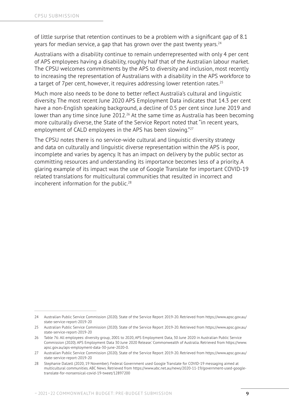of little surprise that retention continues to be a problem with a significant gap of 8.1 years for median service, a gap that has grown over the past twenty years.<sup>24</sup>

Australians with a disability continue to remain underrepresented with only 4 per cent of APS employees having a disability, roughly half that of the Australian labour market. The CPSU welcomes commitments by the APS to diversity and inclusion, most recently to increasing the representation of Australians with a disability in the APS workforce to a target of 7 per cent, however, it requires addressing lower retention rates.<sup>25</sup>

Much more also needs to be done to better reflect Australia's cultural and linguistic diversity. The most recent June 2020 APS Employment Data indicates that 14.3 per cent have a non-English speaking background, a decline of 0.5 per cent since June 2019 and lower than any time since June 2012.<sup>26</sup> At the same time as Australia has been becoming more culturally diverse, the State of the Service Report noted that "in recent years, employment of CALD employees in the APS has been slowing."27

The CPSU notes there is no service-wide cultural and linguistic diversity strategy and data on culturally and linguistic diverse representation within the APS is poor, incomplete and varies by agency. It has an impact on delivery by the public sector as committing resources and understanding its importance becomes less of a priority. A glaring example of its impact was the use of Google Translate for important COVID-19 related translations for multicultural communities that resulted in incorrect and incoherent information for the public.<sup>28</sup>

<sup>24</sup> Australian Public Service Commission (2020). State of the Service Report 2019-20. Retrieved from https://www.apsc.gov.au/ state-service-report-2019-20

<sup>25</sup> Australian Public Service Commission (2020). State of the Service Report 2019-20. Retrieved from https://www.apsc.gov.au/ state-service-report-2019-20

<sup>26</sup> Table 76: All employees: diversity group, 2001 to 2020, APS Employment Data, 30 June 2020 in Australian Public Service Commission (2020). APS Employment Data 30 June 2020 Release.' Commonwealth of Australia. Retrieved from https://www. apsc.gov.au/aps-employment-data-30-june-2020-0.

<sup>27</sup> Australian Public Service Commission (2020). State of the Service Report 2019-20. Retrieved from https://www.apsc.gov.au/ state-service-report-2019-20

<sup>28</sup> Stephanie Dalzell (2020, 19 November). Federal Government used Google Translate for COVID-19 messaging aimed at multicultural communities. ABC News. Retrieved from https://www.abc.net.au/news/2020-11-19/government-used-googletranslate-for-nonsensical-covid-19-tweet/12897200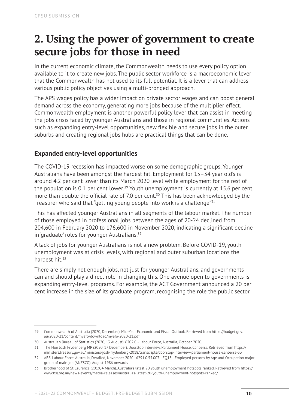## **2. Using the power of government to create secure jobs for those in need**

In the current economic climate, the Commonwealth needs to use every policy option available to it to create new jobs. The public sector workforce is a macroeconomic lever that the Commonwealth has not used to its full potential. It is a lever that can address various public policy objectives using a multi-pronged approach.

The APS wages policy has a wider impact on private sector wages and can boost general demand across the economy, generating more jobs because of the multiplier effect. Commonwealth employment is another powerful policy lever that can assist in meeting the jobs crisis faced by younger Australians and those in regional communities. Actions such as expanding entry-level opportunities, new flexible and secure jobs in the outer suburbs and creating regional jobs hubs are practical things that can be done.

#### **Expanded entry-level opportunities**

The COVID-19 recession has impacted worse on some demographic groups. Younger Australians have been amongst the hardest hit. Employment for 15–34 year old's is around 4.2 per cent lower than its March 2020 level while employment for the rest of the population is 0.1 per cent lower.<sup>29</sup> Youth unemployment is currently at 15.6 per cent, more than double the official rate of 7.0 per cent.<sup>30</sup> This has been acknowledged by the Treasurer who said that "getting young people into work is a challenge"<sup>31</sup>

This has affected younger Australians in all segments of the labour market. The number of those employed in professional jobs between the ages of 20-24 declined from 204,600 in February 2020 to 176,600 in November 2020, indicating a significant decline in 'graduate' roles for younger Australians.<sup>32</sup>

A lack of jobs for younger Australians is not a new problem. Before COVID-19, youth unemployment was at crisis levels, with regional and outer suburban locations the hardest hit.33

There are simply not enough jobs, not just for younger Australians, and governments can and should play a direct role in changing this. One avenue open to governments is expanding entry-level programs. For example, the ACT Government announced a 20 per cent increase in the size of its graduate program, recognising the role the public sector

<sup>29</sup> Commonwealth of Australia (2020, December). Mid-Year Economic and Fiscal Outlook. Retrieved from https://budget.gov. au/2020-21/content/myefo/download/myefo-2020-21.pdf

<sup>30</sup> Australian Bureau of Statistics (2020, 13 August). 6202.0 - Labour Force, Australia, October 2020.

<sup>31</sup> The Hon Josh Frydenberg MP (2020, 17 December). Doorstop interview, Parliament House, Canberra. Retrieved from [https://](https://ministers.treasury.gov.au/ministers/josh-frydenberg-2018/transcripts/doorstop-interview-parliament-house-canberra-33) [ministers.treasury.gov.au/ministers/josh-frydenberg-2018/transcripts/doorstop-interview-parliament-house-canberra-33](https://ministers.treasury.gov.au/ministers/josh-frydenberg-2018/transcripts/doorstop-interview-parliament-house-canberra-33)

<sup>32</sup> ABS. Labour Force, Australia, Detailed, November 2020 . 6291.0.55.003 - EQ13 - Employed persons by Age and Occupation major group of main job (ANZSCO), August 1986 onwards

<sup>33</sup> Brotherhood of St Laurence (2019, 4 March). Australia's latest 20 youth unemployment hotspots ranked. Retrieved from https:// www.bsl.org.au/news-events/media-releases/australias-latest-20-youth-unemployment-hotspots-ranked/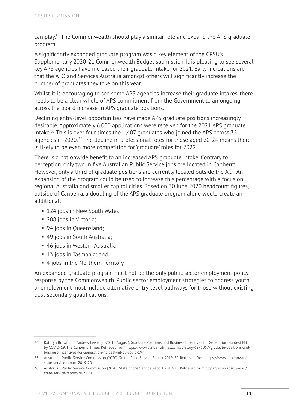can play.34 The Commonwealth should play a similar role and expand the APS graduate program.

A significantly expanded graduate program was a key element of the CPSU's Supplementary 2020-21 Commonwealth Budget submission. It is pleasing to see several key APS agencies have increased their graduate intake for 2021. Early indications are that the ATO and Services Australia amongst others will significantly increase the number of graduates they take on this year.

Whilst it is encouraging to see some APS agencies increase their graduate intakes, there needs to be a clear whole of APS commitment from the Government to an ongoing, across the board increase in APS graduate positions.

Declining entry-level opportunities have made APS graduate positions increasingly desirable. Approximately 6,000 applications were received for the 2021 APS graduate intake.35 This is over four times the 1,407 graduates who joined the APS across 35 agencies in 2020.<sup>36</sup> The decline in professional roles for those aged 20-24 means there is likely to be even more competition for 'graduate' roles for 2022.

There is a nationwide benefit to an increased APS graduate intake. Contrary to perception, only two in five Australian Public Service jobs are located in Canberra. However, only a third of graduate positions are currently located outside the ACT. An expansion of the program could be used to increase this percentage with a focus on regional Australia and smaller capital cities. Based on 30 June 2020 headcount figures, outside of Canberra, a doubling of the APS graduate program alone would create an additional:

- 124 jobs in New South Wales;
- 208 jobs in Victoria;
- 94 jobs in Oueensland:
- 49 jobs in South Australia;
- 46 jobs in Western Australia;
- 13 jobs in Tasmania; and
- 4 jobs in the Northern Territory.

An expanded graduate program must not be the only public sector employment policy response by the Commonwealth. Public sector employment strategies to address youth unemployment must include alternative entry-level pathways for those without existing post-secondary qualifications.

<sup>34</sup> Kathryn Brown and Andrew Lewis (2020, 13 August). Graduate Positions and Business Incentives for Generation Hardest Hit by COVID-19. The Canberra Times. Retrieved from https://www.canberratimes.com.au/story/6875057/graduate-positions-andbusiness-incentives-for-generation-hardest-hit-by-covid-19/

<sup>35</sup> Australian Public Service Commission (2020). State of the Service Report 2019-20. Retrieved from https://www.apsc.gov.au/ state-service-report-2019-20

<sup>36</sup> Australian Public Service Commission (2020). State of the Service Report 2019-20. Retrieved from https://www.apsc.gov.au/ state-service-report-2019-20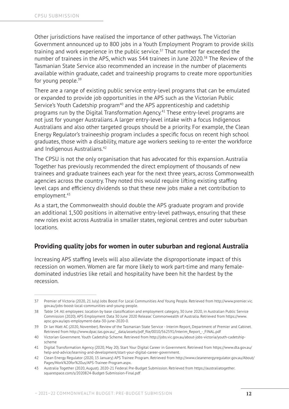Other jurisdictions have realised the importance of other pathways. The Victorian Government announced up to 800 jobs in a Youth Employment Program to provide skills training and work experience in the public service.<sup>37</sup> That number far exceeded the number of trainees in the APS, which was 544 trainees in June 2020.<sup>38</sup> The Review of the Tasmanian State Service also recommended an increase in the number of placements available within graduate, cadet and traineeship programs to create more opportunities for young people.<sup>39</sup>

There are a range of existing public service entry-level programs that can be emulated or expanded to provide job opportunities in the APS such as the Victorian Public Service's Youth Cadetship program<sup>40</sup> and the APS apprenticeship and cadetship programs run by the Digital Transformation Agency.41 These entry-level programs are not just for younger Australians. A larger entry-level intake with a focus Indigenous Australians and also other targeted groups should be a priority. For example, the Clean Energy Regulator's traineeship program includes a specific focus on recent high school graduates, those with a disability, mature age workers seeking to re-enter the workforce and Indigenous Australians.<sup>42</sup>

The CPSU is not the only organisation that has advocated for this expansion. Australia Together has previously recommended the direct employment of thousands of new trainees and graduate trainees each year for the next three years, across Commonwealth agencies across the country. They noted this would require lifting existing staffing level caps and efficiency dividends so that these new jobs make a net contribution to employment.43

As a start, the Commonwealth should double the APS graduate program and provide an additional 1,500 positions in alternative entry-level pathways, ensuring that these new roles exist across Australia in smaller states, regional centres and outer suburban locations.

#### **Providing quality jobs for women in outer suburban and regional Australia**

Increasing APS staffing levels will also alleviate the disproportionate impact of this recession on women. Women are far more likely to work part-time and many femaledominated industries like retail and hospitality have been hit the hardest by the recession.

<sup>37</sup> Premier of Victoria (2020, 21 July) Jobs Boost For Local Communities And Young People. Retrieved from http://www.premier.vic. gov.au/jobs-boost-local-communities-and-young-people.

<sup>38</sup> Table 14: All employees: location by base classification and employment category, 30 June 2020, in Australian Public Service Commission (2020). APS Employment Data 30 June 2020 Release.' Commonwealth of Australia. Retrieved from https://www. apsc.gov.au/aps-employment-data-30-june-2020-0.

<sup>39</sup> Dr Ian Watt AC (2020, November). Review of the Tasmanian State Service - Interim Report, Department of Premier and Cabinet. Retrieved from http://www.dpac.tas.gov.au/\_\_data/assets/pdf\_file/0010/562591/Interim\_Report\_-\_FINAL.pdf

<sup>40</sup> Victorian Government. Youth Cadetship Scheme. Retrieved from [http://jobs.vic.gov.au/about-jobs-victoria/youth-cadetship](http://jobs.vic.gov.au/about-jobs-victoria/youth-cadetship-scheme)[scheme](http://jobs.vic.gov.au/about-jobs-victoria/youth-cadetship-scheme)

<sup>41</sup> Digital Transformation Agency (2020, May 20). Start Your Digital Career in Government. Retrieved from https://www.dta.gov.au/ help-and-advice/learning-and-development/start-your-digital-career-government.

<sup>42</sup> Clean Energy Regulator (2020, 15 January) APS Trainee Program. Retrieved from http://www.cleanenergyregulator.gov.au/About/ Pages/Work%20for%20us/APS-Trainee-Program.aspx.

<sup>43</sup> Australia Together (2020, August). 2020-21 Federal Pre-Budget Submission. Retrieved from https://australiatogether. squarespace.com/s/2020824-Budget-Submission-Final.pdf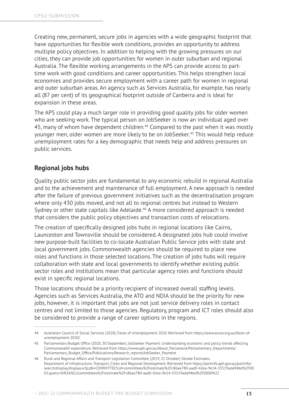Creating new, permanent, secure jobs in agencies with a wide geographic footprint that have opportunities for flexible work conditions, provides an opportunity to address multiple policy objectives. In addition to helping with the growing pressures on our cities, they can provide job opportunities for women in outer suburban and regional Australia. The flexible working arrangements in the APS can provide access to parttime work with good conditions and career opportunities. This helps strengthen local economies and provides secure employment with a career path for women in regional and outer suburban areas. An agency such as Services Australia, for example, has nearly all (87 per cent) of its geographical footprint outside of Canberra and is ideal for expansion in these areas.

The APS could play a much larger role in providing good quality jobs for older women who are seeking work. The typical person on JobSeeker is now an individual aged over 45, many of whom have dependent children.<sup>44</sup> Compared to the past when it was mostly younger men, older women are more likely to be on JobSeeker.<sup>45</sup> This would help reduce unemployment rates for a key demographic that needs help and address pressures on public services.

#### **Regional jobs hubs**

Quality public sector jobs are fundamental to any economic rebuild in regional Australia and to the achievement and maintenance of full employment. A new approach is needed after the failure of previous government initiatives such as the decentralisation program where only 430 jobs moved, and not all to regional centres but instead to Western Sydney or other state capitals like Adelaide.<sup>46</sup> A more considered approach is needed that considers the public policy objectives and transaction costs of relocations.

The creation of specifically designed jobs hubs in regional locations like Cairns, Launceston and Townsville should be considered. A designated jobs hub could involve new purpose-built facilities to co-locate Australian Public Service jobs with state and local government jobs. Commonwealth agencies should be required to place new roles and functions in those selected locations. The creation of jobs hubs will require collaboration with state and local governments to identify whether existing public sector roles and institutions mean that particular agency roles and functions should exist in specific regional locations.

Those locations should be a priority recipient of increased overall staffing levels. Agencies such as Services Australia, the ATO and NDIA should be the priority for new jobs, however, it is important that jobs are not just service delivery roles in contact centres and not limited to those agencies. Regulatory, program and ICT roles should also be considered to provide a range of career options in the regions.

<sup>44</sup> Australian Council of Social Services (2020). Faces of Unemployment 2020. Retrieved from https://www.acoss.org.au/faces-ofunemployment-2020/

<sup>45</sup> Parliamentary Budget Office (2020, 30 September). JobSeeker Payment: Understanding economic and policy trends affecting Commonwealth expenditure. Retrieved from https://www.aph.gov.au/About\_Parliament/Parliamentary\_Departments/ Parliamentary\_Budget\_Office/Publications/Research\_reports/JobSeeker\_Payment

<sup>46</sup> Rural and Regional Affairs and Transport Legislation Committee (2019, 21 October) Senate Estimates Department of Infrastructure, Transport, Cities and Regional Development. Retrieved from https://parlinfo.aph.gov.au/parlInfo/ search/display/display.w3p;db=COMMITTEES;id=committees%2Festimate%2Fc86ae780-aad0-42ea-9e14-33519ada94bd%2F00 02;query=Id%3A%22committees%2Festimate%2Fc86ae780-aad0-42ea-9e14-33519ada94bd%2F0000%22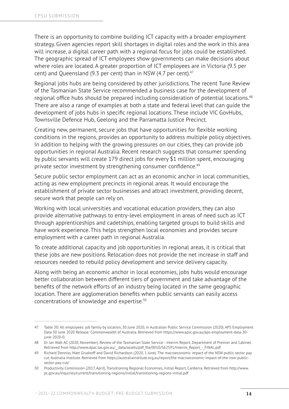There is an opportunity to combine building ICT capacity with a broader employment strategy. Given agencies report skill shortages in digital roles and the work in this area will increase, a digital career path with a regional focus for jobs could be established. The geographic spread of ICT employees show governments can make decisions about where roles are located. A greater proportion of ICT employees are in Victoria (9.5 per cent) and Queensland (9.3 per cent) than in NSW (4.7 per cent). $47$ 

Regional jobs hubs are being considered by other jurisdictions. The recent Tune Review of the Tasmanian State Service recommended a business case for the development of regional office hubs should be prepared including consideration of potential locations.<sup>48</sup> There are also a range of examples at both a state and federal level that can guide the development of jobs hubs in specific regional locations. These include VIC GovHubs, Townsville Defence Hub, Geelong and the Parramatta Justice Precinct.

Creating new, permanent, secure jobs that have opportunities for flexible working conditions in the regions, provides an opportunity to address multiple policy objectives. In addition to helping with the growing pressures on our cities, they can provide job opportunities in regional Australia. Recent research suggests that consumer spending by public servants will create 179 direct jobs for every \$1 million spent, encouraging private sector investment by strengthening consumer confidence.<sup>49</sup>

Secure public sector employment can act as an economic anchor in local communities, acting as new employment precincts in regional areas. It would encourage the establishment of private sector businesses and attract investment, providing decent, secure work that people can rely on.

Working with local universities and vocational education providers, they can also provide alternative pathways to entry-level employment in areas of need such as ICT through apprenticeships and cadetships, enabling targeted groups to build skills and have work experience. This helps strengthen local economies and provides secure employment with a career path in regional Australia.

To create additional capacity and job opportunities in regional areas, it is critical that these jobs are new positions. Relocation does not provide the net increase in staff and resources needed to rebuild policy development and service delivery capacity.

Along with being an economic anchor in local economies, jobs hubs would encourage better collaboration between different tiers of government and take advantage of the benefits of the network efforts of an industry being located in the same geographic location. There are agglomeration benefits when public servants can easily access concentrations of knowledge and expertise.50

<sup>47</sup> Table 30: All employees: job family by location, 30 June 2020, in Australian Public Service Commission (2020). APS Employment Data 30 June 2020 Release.' Commonwealth of Australia. Retrieved from https://www.apsc.gov.au/aps-employment-data-30 june-2020-0.

<sup>48</sup> Dr Ian Watt AC (2020, November). Review of the Tasmanian State Service - Interim Report, Department of Premier and Cabinet. Retrieved from http://www.dpac.tas.gov.au/ data/assets/pdf file/0010/562591/Interim\_Report\_-\_FINAL.pdf

<sup>49</sup> Richard Denniss, Matt Grudnoff and David Richardson (2020, 1 June). The macroeconomic impact of the NSW public sector pay cut. Australia Institute. Retrieved from https://australiainstitute.org.au/report/the-macroeconomic-impact-of-the-nsw-publicsector-pay-cut/

<sup>50</sup> Productivity Commission (2017, April). Transitioning Regional Economies, Initial Report, Canberra. Retrieved from http://www. pc.gov.au/inquiries/current/transitioning-regions/initial/transitioning-regions-initial.pdf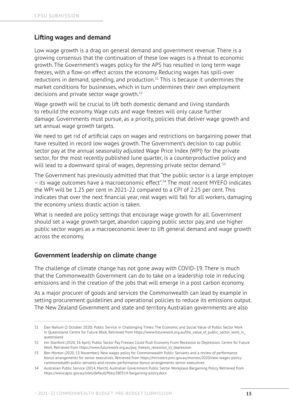#### **Lifting wages and demand**

Low wage growth is a drag on general demand and government revenue. There is a growing consensus that the continuation of these low wages is a threat to economic growth. The Government's wages policy for the APS has resulted in long term wage freezes, with a flow-on effect across the economy. Reducing wages has spill-over reductions in demand, spending, and production.<sup>51</sup> This is because it undermines the market conditions for businesses, which in turn undermines their own employment decisions and private sector wage growth.52

Wage growth will be crucial to lift both domestic demand and living standards to rebuild the economy. Wage cuts and wage freezes will only cause further damage. Governments must pursue, as a priority, policies that deliver wage growth and set annual wage growth targets.

We need to get rid of artificial caps on wages and restrictions on bargaining power that have resulted in record low wages growth. The Government's decision to cap public sector pay at the annual seasonally adjusted Wage Price Index (WPI) for the private sector, for the most recently published June quarter, is a counterproductive policy and will lead to a downward spiral of wages, depressing private sector demand.<sup>53</sup>

The Government has previously admitted that that "the public sector is a large employer – its wage outcomes have a macroeconomic effect".54 The most recent MYEFO indicates the WPI will be 1.25 per cent in 2021-22 compared to a CPI of 2.25 per cent. This indicates that over the next financial year, real wages will fall for all workers, damaging the economy unless drastic action is taken.

What is needed are policy settings that encourage wage growth for all. Government should set a wage growth target, abandon capping public sector pay, and use higher public sector wages as a macroeconomic lever to lift general demand and wage growth across the economy.

#### **Government leadership on climate change**

The challenge of climate change has not gone away with COVID-19. There is much that the Commonwealth Government can do to take on a leadership role in reducing emissions and in the creation of the jobs that will emerge in a post carbon economy.

As a major procurer of goods and services the Commonwealth can lead by example in setting procurement guidelines and operational policies to reduce its emissions output. The New Zealand Government and state and territory Australian governments are also

<sup>51</sup> Dan Nahum (2 October 2020). Public Service in Challenging Times: The Economic and Social Value of Public Sector Work in Queensland. Centre for Future Work. Retrieved from https://www.futurework.org.au/the\_value\_of\_public\_sector\_work\_in queensland

<sup>52</sup> Jim Stanford (2020, 16 April). Public Sector Pay Freezes Could Push Economy From Recession to Depression. Centre for Future Work. Retrieved from https://www.futurework.org.au/pay\_freezes\_recession\_to\_depression

<sup>53</sup> Ben Morton (2020, 13 November). New wages policy for Commonwealth Public Servants and a review of performance bonus arrangements for senior executives. Retrieved from https://ministers.pmc.gov.au/morton/2020/new-wages-policycommonwealth-public-servants-and-review-performance-bonus-arrangements-senior-executives

<sup>54</sup> Australian Public Service (2014, March). Australian Government Public Sector Workplace Bargaining Policy. Retrieved from https://www.apsc.gov.au/sites/default/files/280314-bargaining-policy.docx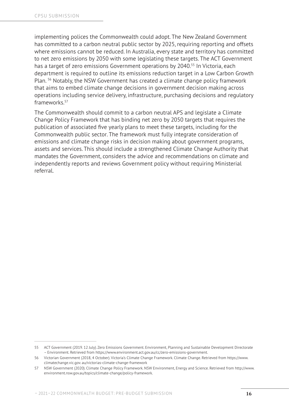implementing polices the Commonwealth could adopt. The New Zealand Government has committed to a carbon neutral public sector by 2025, requiring reporting and offsets where emissions cannot be reduced. In Australia, every state and territory has committed to net zero emissions by 2050 with some legislating these targets. The ACT Government has a target of zero emissions Government operations by 2040.<sup>55</sup> In Victoria, each department is required to outline its emissions reduction target in a Low Carbon Growth Plan. 56 Notably, the NSW Government has created a climate change policy framework that aims to embed climate change decisions in government decision making across operations including service delivery, infrastructure, purchasing decisions and regulatory frameworks.57

The Commonwealth should commit to a carbon neutral APS and legislate a Climate Change Policy Framework that has binding net zero by 2050 targets that requires the publication of associated five yearly plans to meet these targets, including for the Commonwealth public sector. The framework must fully integrate consideration of emissions and climate change risks in decision making about government programs, assets and services. This should include a strengthened Climate Change Authority that mandates the Government, considers the advice and recommendations on climate and independently reports and reviews Government policy without requiring Ministerial referral.

<sup>55</sup> ACT Government (2019. 12 July). Zero Emissions Government. Environment, Planning and Sustainable Development Directorate – Environment. Retrieved from [https://www.environment.act.go](http://www.environment.act.gov.au/cc/zero-emissions-government)v.au/[cc/zero-emissions-government.](http://www.environment.act.gov.au/cc/zero-emissions-government)

<sup>56</sup> Victorian Government (2018, 4 October). Victoria's Climate Change Framework. Climate Change. Retrieved from [https://www](http://www.climatechange.vic.gov/). climate[change.vic.gov.](http://www.climatechange.vic.gov/) au/victorias-climate-change-framework

<sup>57</sup> NSW Government (2020). Climate Change Policy Framework. NSW Environment, Energy and Science. Retrieved from [http://www.](http://www.environment.nsw.) [environment.nsw.g](http://www.environment.nsw.)ov.au/topics/climate-change/policy-framework.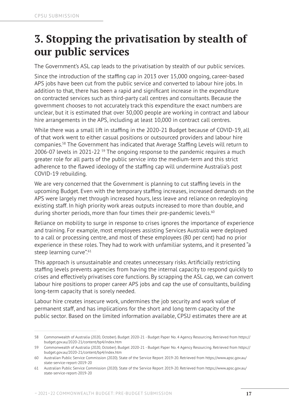### **3. Stopping the privatisation by stealth of our public services**

The Government's ASL cap leads to the privatisation by stealth of our public services.

Since the introduction of the staffing cap in 2013 over 15,000 ongoing, career-based APS jobs have been cut from the public service and converted to labour hire jobs. In addition to that, there has been a rapid and significant increase in the expenditure on contracted services such as third-party call centres and consultants. Because the government chooses to not accurately track this expenditure the exact numbers are unclear, but it is estimated that over 30,000 people are working in contract and labour hire arrangements in the APS, including at least 10,000 in contract call centres.

While there was a small lift in staffing in the 2020-21 Budget because of COVID-19, all of that work went to either casual positions or outsourced providers and labour hire companies.58 The Government has indicated that Average Staffing Levels will return to 2006-07 levels in 2021-22<sup>59</sup> The ongoing response to the pandemic requires a much greater role for all parts of the public service into the medium-term and this strict adherence to the flawed ideology of the staffing cap will undermine Australia's post COVID-19 rebuilding.

We are very concerned that the Government is planning to cut staffing levels in the upcoming Budget. Even with the temporary staffing increases, increased demands on the APS were largely met through increased hours, less leave and reliance on redeploying existing staff. In high priority work areas outputs increased to more than double, and during shorter periods, more than four times their pre-pandemic levels.<sup>60</sup>

Reliance on mobility to surge in response to crises ignores the importance of experience and training. For example, most employees assisting Services Australia were deployed to a call or processing centre, and most of these employees (80 per cent) had no prior experience in these roles. They had to work with unfamiliar systems, and it presented "a steep learning curve".<sup>61</sup>

This approach is unsustainable and creates unnecessary risks. Artificially restricting staffing levels prevents agencies from having the internal capacity to respond quickly to crises and effectively privatises core functions. By scrapping the ASL cap, we can convert labour hire positions to proper career APS jobs and cap the use of consultants, building long-term capacity that is sorely needed.

Labour hire creates insecure work, undermines the job security and work value of permanent staff, and has implications for the short and long term capacity of the public sector. Based on the limited information available, CPSU estimates there are at

<sup>58</sup> Commonwealth of Australia (2020, October). Budget 2020-21 - Budget Paper No. 4 Agency Resourcing. Retrieved from https:// budget.gov.au/2020-21/content/bp4/index.htm

<sup>59</sup> Commonwealth of Australia (2020, October). Budget 2020-21 - Budget Paper No. 4 Agency Resourcing. Retrieved from https:// budget.gov.au/2020-21/content/bp4/index.htm

<sup>60</sup> Australian Public Service Commission (2020). State of the Service Report 2019-20. Retrieved from https://www.apsc.gov.au/ state-service-report-2019-20

<sup>61</sup> Australian Public Service Commission (2020). State of the Service Report 2019-20. Retrieved from https://www.apsc.gov.au/ state-service-report-2019-20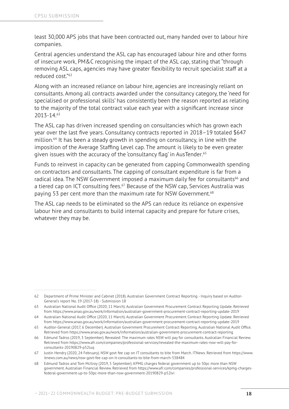least 30,000 APS jobs that have been contracted out, many handed over to labour hire companies.

Central agencies understand the ASL cap has encouraged labour hire and other forms of insecure work, PM&C recognising the impact of the ASL cap, stating that "through removing ASL caps, agencies may have greater flexibility to recruit specialist staff at a reduced cost<sup>"62</sup>

Along with an increased reliance on labour hire, agencies are increasingly reliant on consultants. Among all contracts awarded under the consultancy category, the 'need for specialised or professional skills' has consistently been the reason reported as relating to the majority of the total contract value each year with a significant increase since 2013-14.63

The ASL cap has driven increased spending on consultancies which has grown each year over the last five years. Consultancy contracts reported in 2018–19 totaled \$647 million.64 It has been a steady growth in spending on consultancy, in line with the imposition of the Average Staffing Level cap. The amount is likely to be even greater given issues with the accuracy of the 'consultancy flag' in AusTender.<sup>65</sup>

Funds to reinvest in capacity can be generated from capping Commonwealth spending on contractors and consultants. The capping of consultant expenditure is far from a radical idea. The NSW Government imposed a maximum daily fee for consultants<sup>66</sup> and a tiered cap on ICT consulting fees.<sup>67</sup> Because of the NSW cap, Services Australia was paying 53 per cent more than the maximum rate for NSW Government.<sup>68</sup>

The ASL cap needs to be eliminated so the APS can reduce its reliance on expensive labour hire and consultants to build internal capacity and prepare for future crises, whatever they may be.

<sup>62</sup> Department of Prime Minister and Cabinet (2018). Australian Government Contract Reporting - Inquiry based on Auditor-General's report No. 19 (2017-18) - Submission 18

<sup>63</sup> Australian National Audit Office (2020, 11 March). Australian Government Procurement Contract Reporting Update. Retrieved from https://www.anao.gov.au/work/information/australian-government-procurement-contract-reporting-update-2019

<sup>64</sup> Australian National Audit Office (2020, 11 March). Australian Government Procurement Contract Reporting Update. Retrieved from https://www.anao.gov.au/work/information/australian-government-procurement-contract-reporting-update-2019

<sup>65</sup> Auditor-General (2017, 6 December). Australian Government Procurement Contract Reporting. Australian National Audit Office. Retrieved from https://www.anao.gov.au/work/information/australian-government-procurement-contract-reporting

<sup>66</sup> Edmund Tadros (2019, 3 September). Revealed: The maximum rates NSW will pay for consultants. Australian Financial Review. Retrieved from https://www.afr.com/companies/professional-services/revealed-the-maximum-rates-nsw-will-pay-forconsultants-20190829-p52luq

<sup>67</sup> Justin Hendry (2020, 24 February). NSW govt fee cap on IT consultants to bite from March. ITNews. Retrieved from https://www. itnews.com.au/news/nsw-govt-fee-cap-on-it-consultants-to-bite-from-march-538484

<sup>68</sup> Edmund Tadros and Tom McIlroy (2019, 5 September). KPMG charges federal government up to 50pc more than NSW government. Australian Financial Review. Retrieved from https://www.afr.com/companies/professional-services/kpmg-chargesfederal-government-up-to-50pc-more-than-nsw-government-20190829-p52lvi